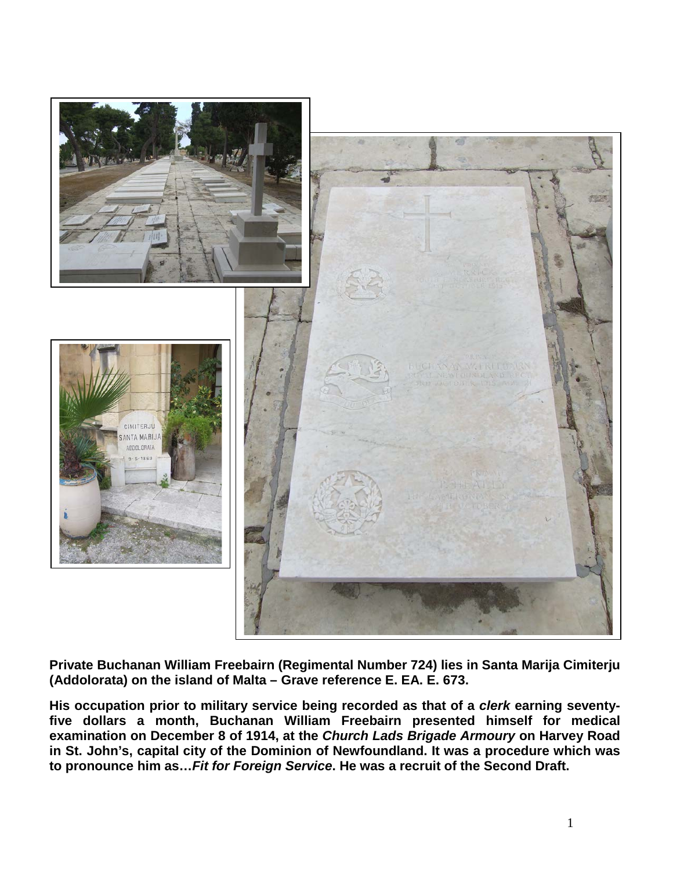

**Private Buchanan William Freebairn (Regimental Number 724) lies in Santa Marija Cimiterju (Addolorata) on the island of Malta – Grave reference E. EA. E. 673.** 

**His occupation prior to military service being recorded as that of a** *clerk* **earning seventyfive dollars a month, Buchanan William Freebairn presented himself for medical examination on December 8 of 1914, at the** *Church Lads Brigade Armoury* **on Harvey Road in St. John's, capital city of the Dominion of Newfoundland. It was a procedure which was to pronounce him as…***Fit for Foreign Service***. He was a recruit of the Second Draft.**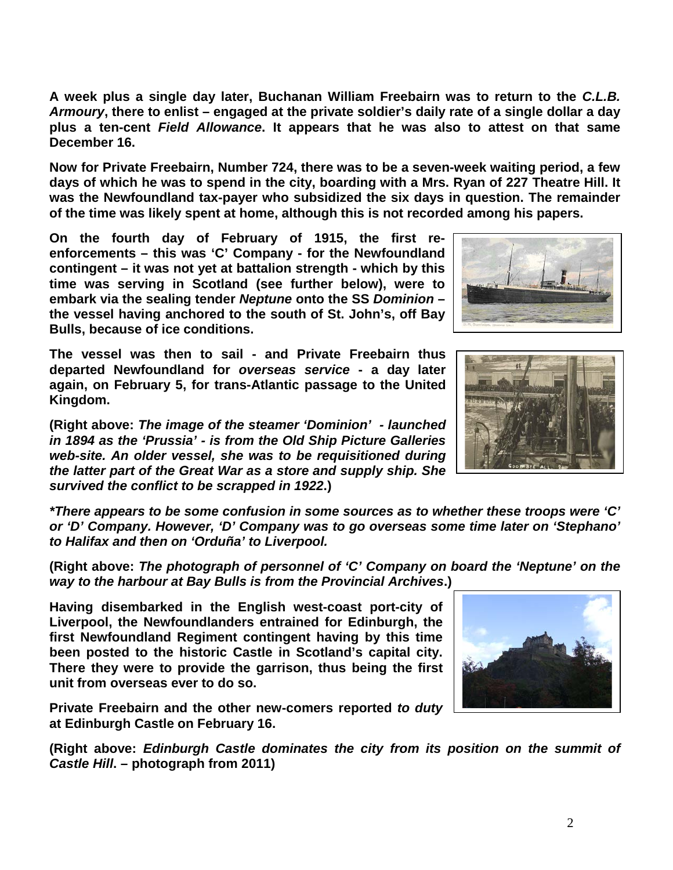**A week plus a single day later, Buchanan William Freebairn was to return to the** *C.L.B. Armoury***, there to enlist – engaged at the private soldier's daily rate of a single dollar a day plus a ten-cent** *Field Allowance***. It appears that he was also to attest on that same December 16.** 

**Now for Private Freebairn, Number 724, there was to be a seven-week waiting period, a few days of which he was to spend in the city, boarding with a Mrs. Ryan of 227 Theatre Hill. It was the Newfoundland tax-payer who subsidized the six days in question. The remainder of the time was likely spent at home, although this is not recorded among his papers.**

**On the fourth day of February of 1915, the first reenforcements – this was 'C' Company - for the Newfoundland contingent – it was not yet at battalion strength - which by this time was serving in Scotland (see further below), were to embark via the sealing tender** *Neptune* **onto the SS** *Dominion* **– the vessel having anchored to the south of St. John's, off Bay Bulls, because of ice conditions.** 

**The vessel was then to sail - and Private Freebairn thus departed Newfoundland for** *overseas service* **- a day later again, on February 5, for trans-Atlantic passage to the United Kingdom.**

**(Right above:** *The image of the steamer 'Dominion' - launched in 1894 as the 'Prussia' - is from the Old Ship Picture Galleries web-site. An older vessel, she was to be requisitioned during the latter part of the Great War as a store and supply ship. She survived the conflict to be scrapped in 1922***.)**

*\*There appears to be some confusion in some sources as to whether these troops were 'C' or 'D' Company. However, 'D' Company was to go overseas some time later on 'Stephano' to Halifax and then on 'Orduña' to Liverpool.*

**(Right above:** *The photograph of personnel of 'C' Company on board the 'Neptune' on the way to the harbour at Bay Bulls is from the Provincial Archives***.)**

**Having disembarked in the English west-coast port-city of Liverpool, the Newfoundlanders entrained for Edinburgh, the first Newfoundland Regiment contingent having by this time been posted to the historic Castle in Scotland's capital city. There they were to provide the garrison, thus being the first unit from overseas ever to do so.** 

**Private Freebairn and the other new-comers reported** *to duty* **at Edinburgh Castle on February 16.** 

**(Right above:** *Edinburgh Castle dominates the city from its position on the summit of Castle Hill***. – photograph from 2011)**





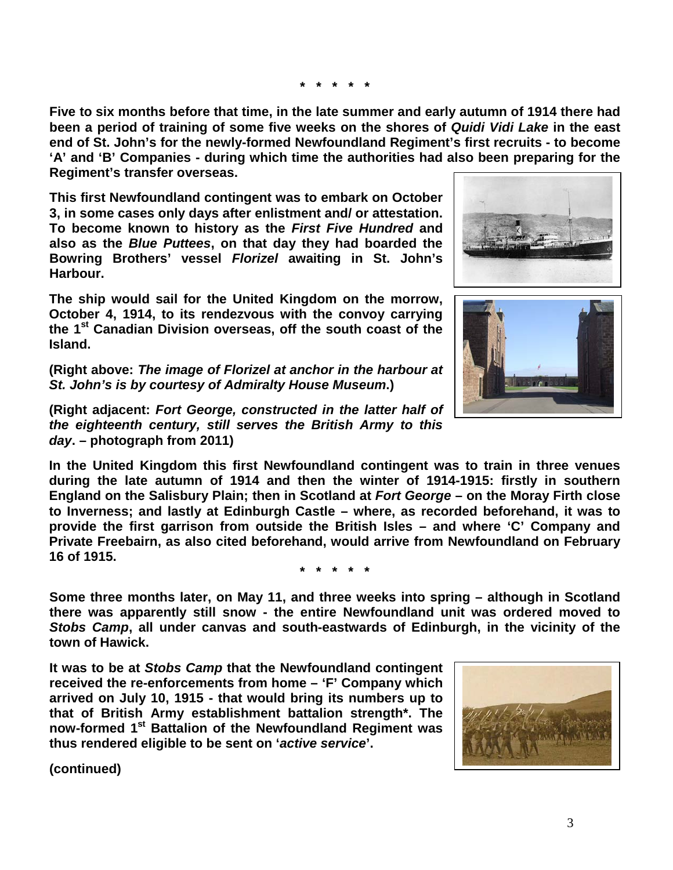**\* \* \* \* \***

**Five to six months before that time, in the late summer and early autumn of 1914 there had been a period of training of some five weeks on the shores of** *Quidi Vidi Lake* **in the east end of St. John's for the newly-formed Newfoundland Regiment's first recruits - to become 'A' and 'B' Companies - during which time the authorities had also been preparing for the Regiment's transfer overseas.**

**This first Newfoundland contingent was to embark on October 3, in some cases only days after enlistment and/ or attestation. To become known to history as the** *First Five Hundred* **and also as the** *Blue Puttees***, on that day they had boarded the Bowring Brothers' vessel** *Florizel* **awaiting in St. John's Harbour.**

**The ship would sail for the United Kingdom on the morrow, October 4, 1914, to its rendezvous with the convoy carrying the 1st Canadian Division overseas, off the south coast of the Island.** 

**(Right above:** *The image of Florizel at anchor in the harbour at St. John's is by courtesy of Admiralty House Museum***.)**

**(Right adjacent:** *Fort George, constructed in the latter half of the eighteenth century, still serves the British Army to this day***. – photograph from 2011)**

**In the United Kingdom this first Newfoundland contingent was to train in three venues during the late autumn of 1914 and then the winter of 1914-1915: firstly in southern England on the Salisbury Plain; then in Scotland at** *Fort George* **– on the Moray Firth close to Inverness; and lastly at Edinburgh Castle – where, as recorded beforehand, it was to provide the first garrison from outside the British Isles – and where 'C' Company and Private Freebairn, as also cited beforehand, would arrive from Newfoundland on February 16 of 1915.**

**\* \* \* \* \***

**Some three months later, on May 11, and three weeks into spring – although in Scotland there was apparently still snow - the entire Newfoundland unit was ordered moved to**  *Stobs Camp***, all under canvas and south-eastwards of Edinburgh, in the vicinity of the town of Hawick.**

**It was to be at** *Stobs Camp* **that the Newfoundland contingent received the re-enforcements from home – 'F' Company which arrived on July 10, 1915 - that would bring its numbers up to that of British Army establishment battalion strength\*. The now-formed 1st Battalion of the Newfoundland Regiment was thus rendered eligible to be sent on '***active service***'.**

**(continued)**





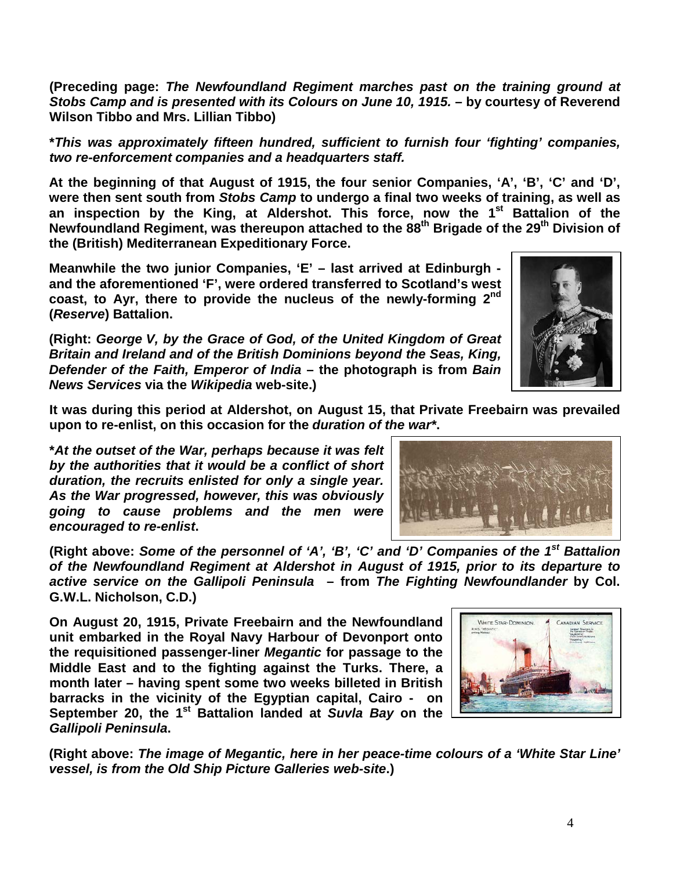**(Preceding page:** *The Newfoundland Regiment marches past on the training ground at Stobs Camp and is presented with its Colours on June 10, 1915.* **– by courtesy of Reverend Wilson Tibbo and Mrs. Lillian Tibbo)**

**\****This was approximately fifteen hundred, sufficient to furnish four 'fighting' companies, two re-enforcement companies and a headquarters staff.*

**At the beginning of that August of 1915, the four senior Companies, 'A', 'B', 'C' and 'D', were then sent south from** *Stobs Camp* **to undergo a final two weeks of training, as well as an inspection by the King, at Aldershot. This force, now the 1st Battalion of the Newfoundland Regiment, was thereupon attached to the 88th Brigade of the 29th Division of the (British) Mediterranean Expeditionary Force.**

**Meanwhile the two junior Companies, 'E' – last arrived at Edinburgh and the aforementioned 'F', were ordered transferred to Scotland's west coast, to Ayr, there to provide the nucleus of the newly-forming 2nd (***Reserve***) Battalion.**

**(Right:** *George V, by the Grace of God, of the United Kingdom of Great Britain and Ireland and of the British Dominions beyond the Seas, King, Defender of the Faith, Emperor of India* **– the photograph is from** *Bain News Services* **via the** *Wikipedia* **web-site.)**

**It was during this period at Aldershot, on August 15, that Private Freebairn was prevailed upon to re-enlist, on this occasion for the** *duration of the war\****.**

**\****At the outset of the War, perhaps because it was felt by the authorities that it would be a conflict of short duration, the recruits enlisted for only a single year. As the War progressed, however, this was obviously going to cause problems and the men were encouraged to re-enlist***.**

(Right above: Some of the personnel of 'A', 'B', 'C' and 'D' Companies of the 1<sup>st</sup> Battalion *of the Newfoundland Regiment at Aldershot in August of 1915, prior to its departure to active service on the Gallipoli Peninsula* **– from** *The Fighting Newfoundlander* **by Col. G.W.L. Nicholson, C.D.)**

**On August 20, 1915, Private Freebairn and the Newfoundland unit embarked in the Royal Navy Harbour of Devonport onto the requisitioned passenger-liner** *Megantic* **for passage to the Middle East and to the fighting against the Turks. There, a month later – having spent some two weeks billeted in British barracks in the vicinity of the Egyptian capital, Cairo - on September 20, the 1st Battalion landed at** *Suvla Bay* **on the**  *Gallipoli Peninsula***.**

**(Right above:** *The image of Megantic, here in her peace-time colours of a 'White Star Line' vessel, is from the Old Ship Picture Galleries web-site***.)**





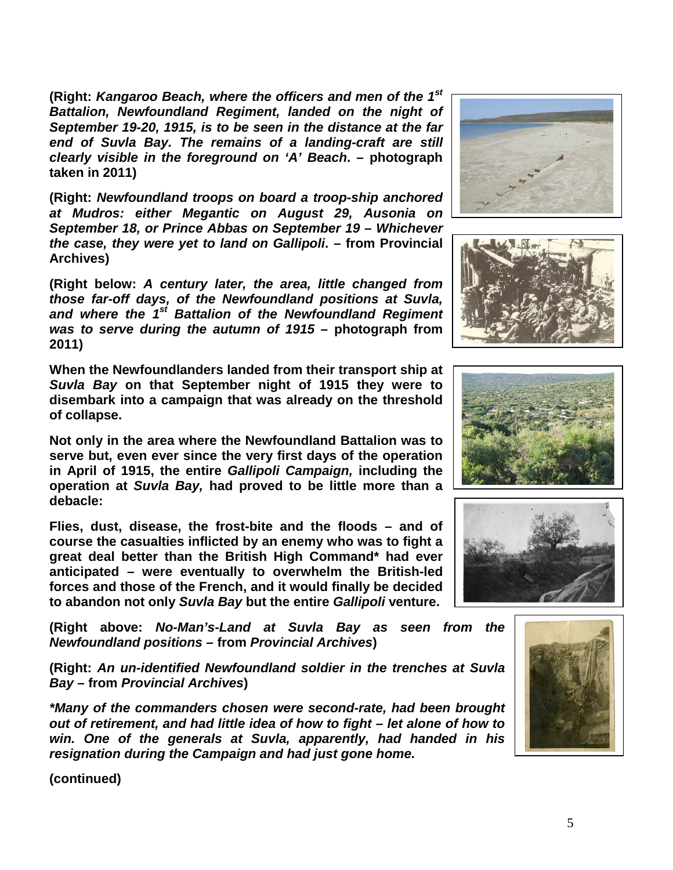**(Right:** *Kangaroo Beach, where the officers and men of the 1st Battalion, Newfoundland Regiment, landed on the night of September 19-20, 1915, is to be seen in the distance at the far end of Suvla Bay. The remains of a landing-craft are still clearly visible in the foreground on 'A' Beach***. – photograph taken in 2011)**

**(Right:** *Newfoundland troops on board a troop-ship anchored at Mudros: either Megantic on August 29, Ausonia on September 18, or Prince Abbas on September 19 – Whichever the case, they were yet to land on Gallipoli***. – from Provincial Archives)**

**(Right below:** *A century later, the area, little changed from those far-off days, of the Newfoundland positions at Suvla, and where the 1st Battalion of the Newfoundland Regiment was to serve during the autumn of 1915* **– photograph from 2011)**

**When the Newfoundlanders landed from their transport ship at**  *Suvla Bay* **on that September night of 1915 they were to disembark into a campaign that was already on the threshold of collapse.**

**Not only in the area where the Newfoundland Battalion was to serve but, even ever since the very first days of the operation in April of 1915, the entire** *Gallipoli Campaign,* **including the operation at** *Suvla Bay,* **had proved to be little more than a debacle:** 

**Flies, dust, disease, the frost-bite and the floods – and of course the casualties inflicted by an enemy who was to fight a great deal better than the British High Command\* had ever anticipated – were eventually to overwhelm the British-led forces and those of the French, and it would finally be decided to abandon not only** *Suvla Bay* **but the entire** *Gallipoli* **venture.**

**(Right above:** *No-Man's-Land at Suvla Bay as seen from the Newfoundland positions* **– from** *Provincial Archives***)**

**(Right:** *An un-identified Newfoundland soldier in the trenches at Suvla Bay –* **from** *Provincial Archives***)**

*\*Many of the commanders chosen were second-rate, had been brought out of retirement, and had little idea of how to fight – let alone of how to win. One of the generals at Suvla, apparently, had handed in his resignation during the Campaign and had just gone home.*

**(continued)**









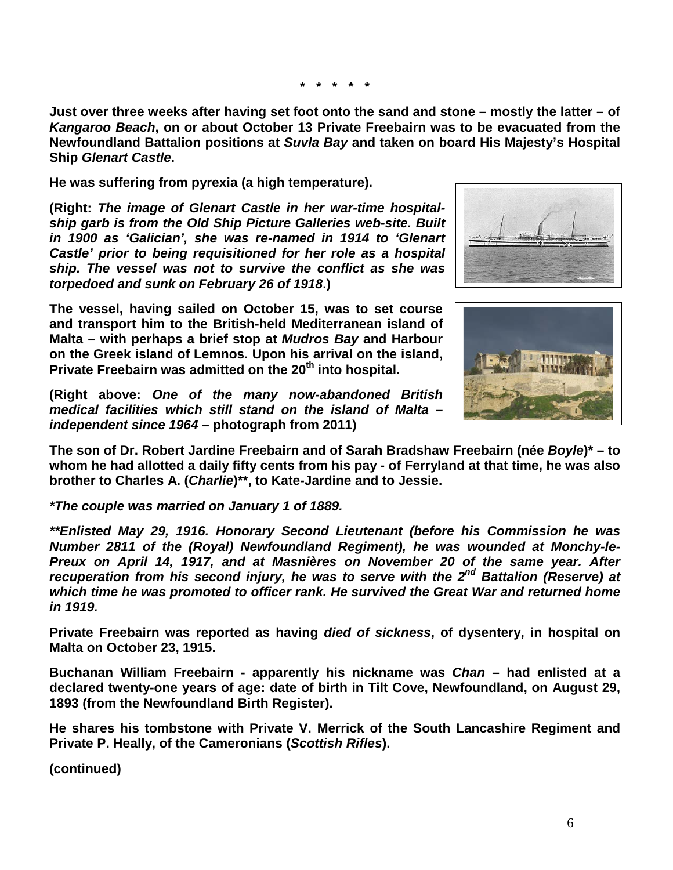**\* \* \* \* \***

**Just over three weeks after having set foot onto the sand and stone – mostly the latter – of**  *Kangaroo Beach***, on or about October 13 Private Freebairn was to be evacuated from the Newfoundland Battalion positions at** *Suvla Bay* **and taken on board His Majesty's Hospital Ship** *Glenart Castle***.** 

**He was suffering from pyrexia (a high temperature).**

**(Right:** *The image of Glenart Castle in her war-time hospitalship garb is from the Old Ship Picture Galleries web-site. Built in 1900 as 'Galician', she was re-named in 1914 to 'Glenart Castle' prior to being requisitioned for her role as a hospital ship. The vessel was not to survive the conflict as she was torpedoed and sunk on February 26 of 1918***.)**

**The vessel, having sailed on October 15, was to set course and transport him to the British-held Mediterranean island of Malta – with perhaps a brief stop at** *Mudros Bay* **and Harbour on the Greek island of Lemnos. Upon his arrival on the island, Private Freebairn was admitted on the 20<sup>th</sup> into hospital.** 





**(Right above:** *One of the many now-abandoned British medical facilities which still stand on the island of Malta – independent since 1964* **– photograph from 2011)**

**The son of Dr. Robert Jardine Freebairn and of Sarah Bradshaw Freebairn (née** *Boyle***)\* – to whom he had allotted a daily fifty cents from his pay - of Ferryland at that time, he was also brother to Charles A. (***Charlie***)\*\*, to Kate-Jardine and to Jessie.** 

*\*The couple was married on January 1 of 1889.*

*\*\*Enlisted May 29, 1916. Honorary Second Lieutenant (before his Commission he was Number 2811 of the (Royal) Newfoundland Regiment), he was wounded at Monchy-le-Preux on April 14, 1917, and at Masnières on November 20 of the same year. After recuperation from his second injury, he was to serve with the 2nd Battalion (Reserve) at which time he was promoted to officer rank. He survived the Great War and returned home in 1919.* 

**Private Freebairn was reported as having** *died of sickness***, of dysentery, in hospital on Malta on October 23, 1915.** 

**Buchanan William Freebairn - apparently his nickname was** *Chan* **– had enlisted at a declared twenty-one years of age: date of birth in Tilt Cove, Newfoundland, on August 29, 1893 (from the Newfoundland Birth Register).** 

**He shares his tombstone with Private V. Merrick of the South Lancashire Regiment and Private P. Heally, of the Cameronians (***Scottish Rifles***).** 

**(continued)**